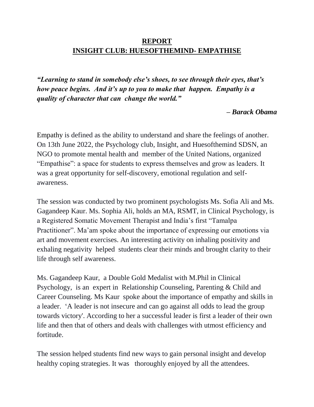## **REPORT INSIGHT CLUB: HUESOFTHEMIND- EMPATHISE**

*"Learning to stand in somebody else's shoes, to see through their eyes, that's how peace begins. And it's up to you to make that happen. Empathy is a quality of character that can change the world."*

## *– Barack Obama*

Empathy is defined as the ability to understand and share the feelings of another. On 13th June 2022, the Psychology club, Insight, and Huesofthemind SDSN, an NGO to promote mental health and member of the United Nations, organized "Empathise": a space for students to express themselves and grow as leaders. It was a great opportunity for self-discovery, emotional regulation and selfawareness.

The session was conducted by two prominent psychologists Ms. Sofia Ali and Ms. Gagandeep Kaur. Ms. Sophia Ali, holds an MA, RSMT, in Clinical Psychology, is a Registered Somatic Movement Therapist and India's first "Tamalpa Practitioner". Ma'am spoke about the importance of expressing our emotions via art and movement exercises. An interesting activity on inhaling positivity and exhaling negativity helped students clear their minds and brought clarity to their life through self awareness.

Ms. Gagandeep Kaur, a Double Gold Medalist with M.Phil in Clinical Psychology, is an expert in Relationship Counseling, Parenting & Child and Career Counseling. Ms Kaur spoke about the importance of empathy and skills in a leader. 'A leader is not insecure and can go against all odds to lead the group towards victory'. According to her a successful leader is first a leader of their own life and then that of others and deals with challenges with utmost efficiency and fortitude.

The session helped students find new ways to gain personal insight and develop healthy coping strategies. It was thoroughly enjoyed by all the attendees.